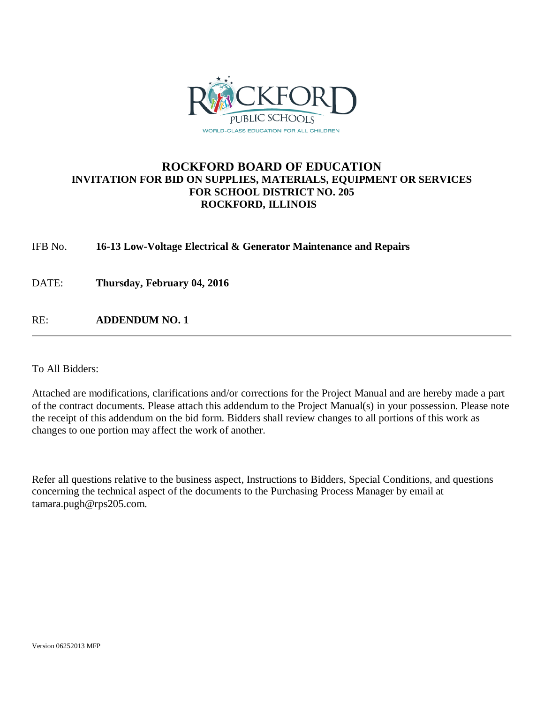

### **ROCKFORD BOARD OF EDUCATION INVITATION FOR BID ON SUPPLIES, MATERIALS, EQUIPMENT OR SERVICES FOR SCHOOL DISTRICT NO. 205 ROCKFORD, ILLINOIS**

IFB No. **16-13 Low-Voltage Electrical & Generator Maintenance and Repairs**

DATE: **Thursday, February 04, 2016**

RE: **ADDENDUM NO. 1**

To All Bidders:

Attached are modifications, clarifications and/or corrections for the Project Manual and are hereby made a part of the contract documents. Please attach this addendum to the Project Manual(s) in your possession. Please note the receipt of this addendum on the bid form. Bidders shall review changes to all portions of this work as changes to one portion may affect the work of another.

Refer all questions relative to the business aspect, Instructions to Bidders, Special Conditions, and questions concerning the technical aspect of the documents to the Purchasing Process Manager by email at tamara.pugh@rps205.com.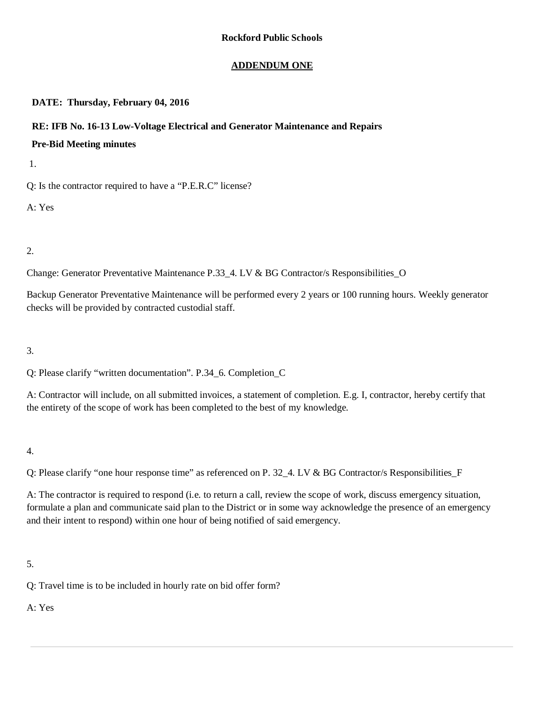### **ADDENDUM ONE**

### **DATE: Thursday, February 04, 2016**

### **RE: IFB No. 16-13 Low-Voltage Electrical and Generator Maintenance and Repairs**

### **Pre-Bid Meeting minutes**

1.

Q: Is the contractor required to have a "P.E.R.C" license?

A: Yes

2.

Change: Generator Preventative Maintenance P.33\_4. LV & BG Contractor/s Responsibilities\_O

Backup Generator Preventative Maintenance will be performed every 2 years or 100 running hours. Weekly generator checks will be provided by contracted custodial staff.

3.

Q: Please clarify "written documentation". P.34\_6. Completion\_C

A: Contractor will include, on all submitted invoices, a statement of completion. E.g. I, contractor, hereby certify that the entirety of the scope of work has been completed to the best of my knowledge.

4.

Q: Please clarify "one hour response time" as referenced on P. 32\_4. LV & BG Contractor/s Responsibilities\_F

A: The contractor is required to respond (i.e. to return a call, review the scope of work, discuss emergency situation, formulate a plan and communicate said plan to the District or in some way acknowledge the presence of an emergency and their intent to respond) within one hour of being notified of said emergency.

5.

Q: Travel time is to be included in hourly rate on bid offer form?

A: Yes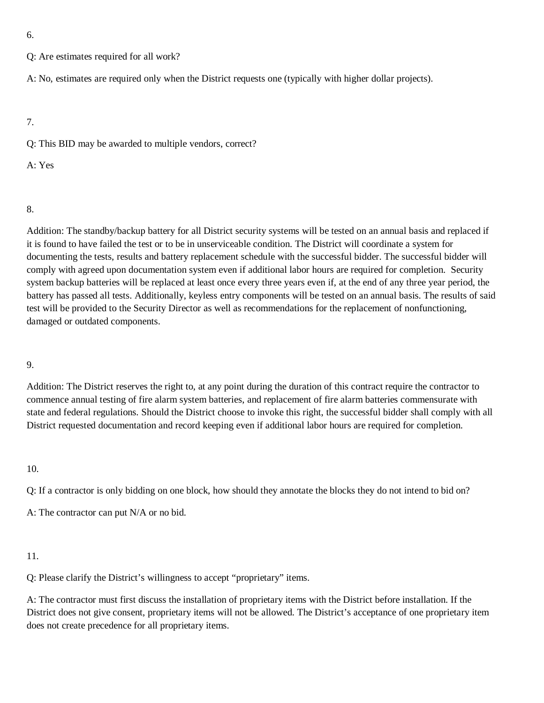6.

Q: Are estimates required for all work?

A: No, estimates are required only when the District requests one (typically with higher dollar projects).

7.

Q: This BID may be awarded to multiple vendors, correct?

A: Yes

8.

Addition: The standby/backup battery for all District security systems will be tested on an annual basis and replaced if it is found to have failed the test or to be in unserviceable condition. The District will coordinate a system for documenting the tests, results and battery replacement schedule with the successful bidder. The successful bidder will comply with agreed upon documentation system even if additional labor hours are required for completion. Security system backup batteries will be replaced at least once every three years even if, at the end of any three year period, the battery has passed all tests. Additionally, keyless entry components will be tested on an annual basis. The results of said test will be provided to the Security Director as well as recommendations for the replacement of nonfunctioning, damaged or outdated components.

9.

Addition: The District reserves the right to, at any point during the duration of this contract require the contractor to commence annual testing of fire alarm system batteries, and replacement of fire alarm batteries commensurate with state and federal regulations. Should the District choose to invoke this right, the successful bidder shall comply with all District requested documentation and record keeping even if additional labor hours are required for completion.

10.

Q: If a contractor is only bidding on one block, how should they annotate the blocks they do not intend to bid on?

A: The contractor can put N/A or no bid.

11.

Q: Please clarify the District's willingness to accept "proprietary" items.

A: The contractor must first discuss the installation of proprietary items with the District before installation. If the District does not give consent, proprietary items will not be allowed. The District's acceptance of one proprietary item does not create precedence for all proprietary items.